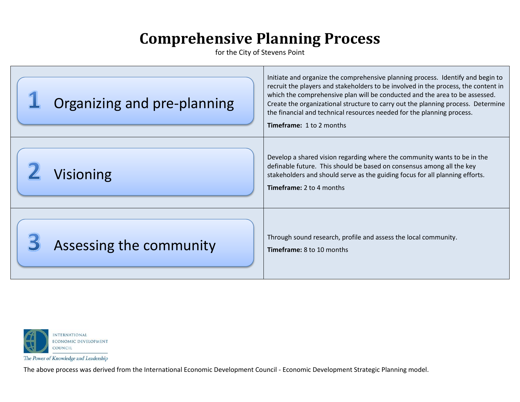for the City of Stevens Point

| Organizing and pre-planning | Initiate and organize the comprehensive planning process. Identify and begin to<br>recruit the players and stakeholders to be involved in the process, the content in<br>which the comprehensive plan will be conducted and the area to be assessed.<br>Create the organizational structure to carry out the planning process. Determine<br>the financial and technical resources needed for the planning process.<br><b>Timeframe: 1 to 2 months</b> |
|-----------------------------|-------------------------------------------------------------------------------------------------------------------------------------------------------------------------------------------------------------------------------------------------------------------------------------------------------------------------------------------------------------------------------------------------------------------------------------------------------|
| <b>Visioning</b>            | Develop a shared vision regarding where the community wants to be in the<br>definable future. This should be based on consensus among all the key<br>stakeholders and should serve as the guiding focus for all planning efforts.<br><b>Timeframe: 2 to 4 months</b>                                                                                                                                                                                  |
| Assessing the community     | Through sound research, profile and assess the local community.<br><b>Timeframe:</b> 8 to 10 months                                                                                                                                                                                                                                                                                                                                                   |



The Power of Knowledge and Leadership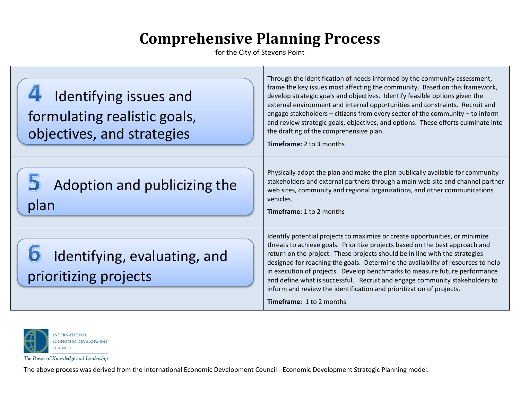for the City of Stevens Point

| Identifying issues and<br>formulating realistic goals,<br>objectives, and strategies | Through the identification of needs informed by the community assessment,<br>frame the key issues most affecting the community. Based on this framework,<br>develop strategic goals and objectives. Identify feasible options given the<br>external environment and internal opportunities and constraints. Recruit and<br>engage stakeholders - citizens from every sector of the community - to inform<br>and review strategic goals, objectives, and options. These efforts culminate into<br>the drafting of the comprehensive plan.<br><b>Timeframe: 2 to 3 months</b>                             |
|--------------------------------------------------------------------------------------|---------------------------------------------------------------------------------------------------------------------------------------------------------------------------------------------------------------------------------------------------------------------------------------------------------------------------------------------------------------------------------------------------------------------------------------------------------------------------------------------------------------------------------------------------------------------------------------------------------|
| Adoption and publicizing the<br>plan                                                 | Physically adopt the plan and make the plan publically available for community<br>stakeholders and external partners through a main web site and channel partner<br>web sites, community and regional organizations, and other communications<br>vehicles.<br><b>Timeframe: 1 to 2 months</b>                                                                                                                                                                                                                                                                                                           |
| Identifying, evaluating, and<br>prioritizing projects                                | Identify potential projects to maximize or create opportunities, or minimize<br>threats to achieve goals. Prioritize projects based on the best approach and<br>return on the project. These projects should be in line with the strategies<br>designed for reaching the goals. Determine the availability of resources to help<br>in execution of projects. Develop benchmarks to measure future performance<br>and define what is successful. Recruit and engage community stakeholders to<br>inform and review the identification and prioritization of projects.<br><b>Timeframe: 1 to 2 months</b> |



The Power of Knowledge and Leadership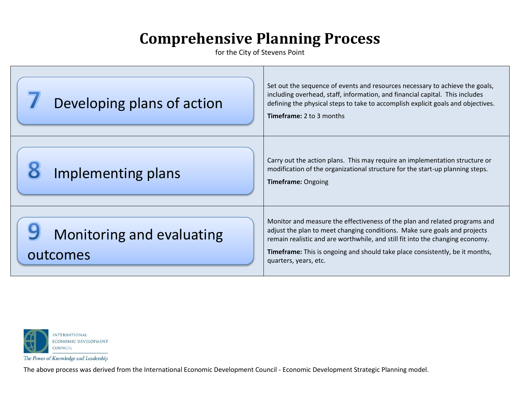for the City of Stevens Point

| Developing plans of action            | Set out the sequence of events and resources necessary to achieve the goals,<br>including overhead, staff, information, and financial capital. This includes<br>defining the physical steps to take to accomplish explicit goals and objectives.<br><b>Timeframe: 2 to 3 months</b>                                                                      |
|---------------------------------------|----------------------------------------------------------------------------------------------------------------------------------------------------------------------------------------------------------------------------------------------------------------------------------------------------------------------------------------------------------|
| Implementing plans                    | Carry out the action plans. This may require an implementation structure or<br>modification of the organizational structure for the start-up planning steps.<br><b>Timeframe: Ongoing</b>                                                                                                                                                                |
| Monitoring and evaluating<br>outcomes | Monitor and measure the effectiveness of the plan and related programs and<br>adjust the plan to meet changing conditions. Make sure goals and projects<br>remain realistic and are worthwhile, and still fit into the changing economy.<br><b>Timeframe:</b> This is ongoing and should take place consistently, be it months,<br>quarters, years, etc. |



The Power of Knowledge and Leadership